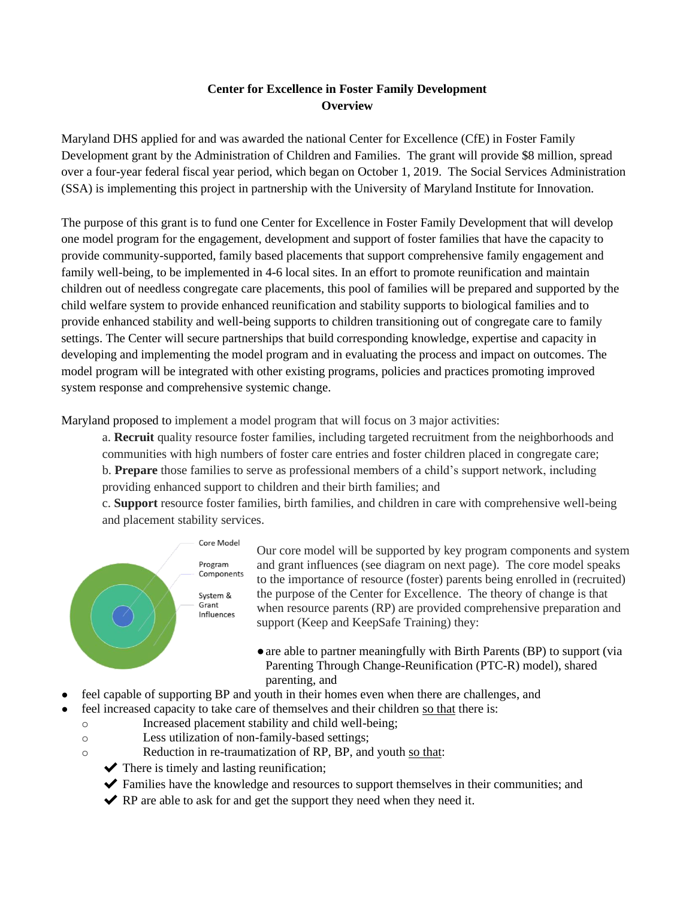## **Center for Excellence in Foster Family Development Overview**

Maryland DHS applied for and was awarded the national Center for Excellence (CfE) in Foster Family Development grant by the Administration of Children and Families. The grant will provide \$8 million, spread over a four-year federal fiscal year period, which began on October 1, 2019. The Social Services Administration (SSA) is implementing this project in partnership with the University of Maryland Institute for Innovation.

The purpose of this grant is to fund one Center for Excellence in Foster Family Development that will develop one model program for the engagement, development and support of foster families that have the capacity to provide community-supported, family based placements that support comprehensive family engagement and family well-being, to be implemented in 4-6 local sites. In an effort to promote reunification and maintain children out of needless congregate care placements, this pool of families will be prepared and supported by the child welfare system to provide enhanced reunification and stability supports to biological families and to provide enhanced stability and well-being supports to children transitioning out of congregate care to family settings. The Center will secure partnerships that build corresponding knowledge, expertise and capacity in developing and implementing the model program and in evaluating the process and impact on outcomes. The model program will be integrated with other existing programs, policies and practices promoting improved system response and comprehensive systemic change.

Maryland proposed to implement a model program that will focus on 3 major activities:

a. **Recruit** quality resource foster families, including targeted recruitment from the neighborhoods and communities with high numbers of foster care entries and foster children placed in congregate care; b. **Prepare** those families to serve as professional members of a child's support network, including providing enhanced support to children and their birth families; and

c. **Support** resource foster families, birth families, and children in care with comprehensive well-being

and placement stability services.



Our core model will be supported by key program components and system and grant influences (see diagram on next page). The core model speaks to the importance of resource (foster) parents being enrolled in (recruited) the purpose of the Center for Excellence. The theory of change is that when resource parents (RP) are provided comprehensive preparation and support (Keep and KeepSafe Training) they:

- ●are able to partner meaningfully with Birth Parents (BP) to support (via Parenting Through Change-Reunification (PTC-R) model), shared parenting, and
- feel capable of supporting BP and youth in their homes even when there are challenges, and
	- feel increased capacity to take care of themselves and their children so that there is:
	- o Increased placement stability and child well-being;
	- o Less utilization of non-family-based settings;
	- o Reduction in re-traumatization of RP, BP, and youth so that:
		- $\blacktriangleright$  There is timely and lasting reunification;
		- ✔ Families have the knowledge and resources to support themselves in their communities; and
		- $\blacktriangleright$  RP are able to ask for and get the support they need when they need it.